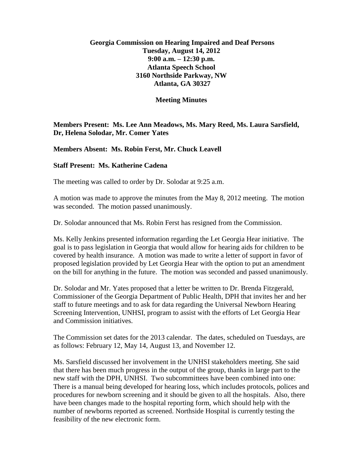## **Georgia Commission on Hearing Impaired and Deaf Persons Tuesday, August 14, 2012 9:00 a.m. – 12:30 p.m. Atlanta Speech School 3160 Northside Parkway, NW Atlanta, GA 30327**

## **Meeting Minutes**

**Members Present: Ms. Lee Ann Meadows, Ms. Mary Reed, Ms. Laura Sarsfield, Dr, Helena Solodar, Mr. Comer Yates**

**Members Absent: Ms. Robin Ferst, Mr. Chuck Leavell**

## **Staff Present: Ms. Katherine Cadena**

The meeting was called to order by Dr. Solodar at 9:25 a.m.

A motion was made to approve the minutes from the May 8, 2012 meeting. The motion was seconded. The motion passed unanimously.

Dr. Solodar announced that Ms. Robin Ferst has resigned from the Commission.

Ms. Kelly Jenkins presented information regarding the Let Georgia Hear initiative. The goal is to pass legislation in Georgia that would allow for hearing aids for children to be covered by health insurance. A motion was made to write a letter of support in favor of proposed legislation provided by Let Georgia Hear with the option to put an amendment on the bill for anything in the future. The motion was seconded and passed unanimously.

Dr. Solodar and Mr. Yates proposed that a letter be written to Dr. Brenda Fitzgerald, Commissioner of the Georgia Department of Public Health, DPH that invites her and her staff to future meetings and to ask for data regarding the Universal Newborn Hearing Screening Intervention, UNHSI, program to assist with the efforts of Let Georgia Hear and Commission initiatives.

The Commission set dates for the 2013 calendar. The dates, scheduled on Tuesdays, are as follows: February 12, May 14, August 13, and November 12.

Ms. Sarsfield discussed her involvement in the UNHSI stakeholders meeting. She said that there has been much progress in the output of the group, thanks in large part to the new staff with the DPH, UNHSI. Two subcommittees have been combined into one: There is a manual being developed for hearing loss, which includes protocols, polices and procedures for newborn screening and it should be given to all the hospitals. Also, there have been changes made to the hospital reporting form, which should help with the number of newborns reported as screened. Northside Hospital is currently testing the feasibility of the new electronic form.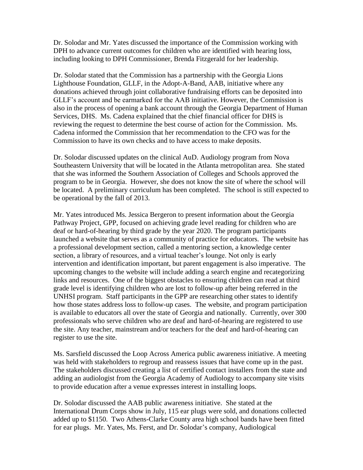Dr. Solodar and Mr. Yates discussed the importance of the Commission working with DPH to advance current outcomes for children who are identified with hearing loss, including looking to DPH Commissioner, Brenda Fitzgerald for her leadership.

Dr. Solodar stated that the Commission has a partnership with the Georgia Lions Lighthouse Foundation, GLLF, in the Adopt-A-Band, AAB, initiative where any donations achieved through joint collaborative fundraising efforts can be deposited into GLLF's account and be earmarked for the AAB initiative. However, the Commission is also in the process of opening a bank account through the Georgia Department of Human Services, DHS. Ms. Cadena explained that the chief financial officer for DHS is reviewing the request to determine the best course of action for the Commission. Ms. Cadena informed the Commission that her recommendation to the CFO was for the Commission to have its own checks and to have access to make deposits.

Dr. Solodar discussed updates on the clinical AuD. Audiology program from Nova Southeastern University that will be located in the Atlanta metropolitan area. She stated that she was informed the Southern Association of Colleges and Schools approved the program to be in Georgia. However, she does not know the site of where the school will be located. A preliminary curriculum has been completed. The school is still expected to be operational by the fall of 2013.

Mr. Yates introduced Ms. Jessica Bergeron to present information about the Georgia Pathway Project, GPP, focused on achieving grade level reading for children who are deaf or hard-of-hearing by third grade by the year 2020. The program participants launched a website that serves as a community of practice for educators. The website has a professional development section, called a mentoring section, a knowledge center section, a library of resources, and a virtual teacher's lounge. Not only is early intervention and identification important, but parent engagement is also imperative. The upcoming changes to the website will include adding a search engine and recategorizing links and resources. One of the biggest obstacles to ensuring children can read at third grade level is identifying children who are lost to follow-up after being referred in the UNHSI program. Staff participants in the GPP are researching other states to identify how those states address loss to follow-up cases. The website, and program participation is available to educators all over the state of Georgia and nationally. Currently, over 300 professionals who serve children who are deaf and hard-of-hearing are registered to use the site. Any teacher, mainstream and/or teachers for the deaf and hard-of-hearing can register to use the site.

Ms. Sarsfield discussed the Loop Across America public awareness initiative. A meeting was held with stakeholders to regroup and reassess issues that have come up in the past. The stakeholders discussed creating a list of certified contact installers from the state and adding an audiologist from the Georgia Academy of Audiology to accompany site visits to provide education after a venue expresses interest in installing loops.

Dr. Solodar discussed the AAB public awareness initiative. She stated at the International Drum Corps show in July, 115 ear plugs were sold, and donations collected added up to \$1150. Two Athens-Clarke County area high school bands have been fitted for ear plugs. Mr. Yates, Ms. Ferst, and Dr. Solodar's company, Audiological